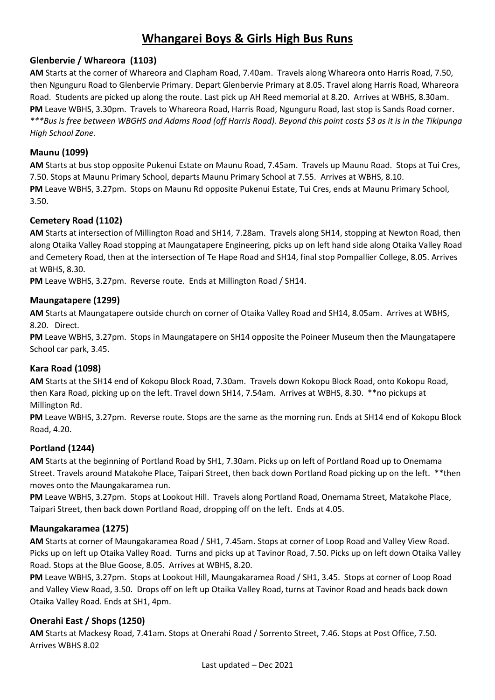# **Whangarei Boys & Girls High Bus Runs**

## **Glenbervie / Whareora (1103)**

**AM** Starts at the corner of Whareora and Clapham Road, 7.40am. Travels along Whareora onto Harris Road, 7.50, then Ngunguru Road to Glenbervie Primary. Depart Glenbervie Primary at 8.05. Travel along Harris Road, Whareora Road. Students are picked up along the route. Last pick up AH Reed memorial at 8.20. Arrives at WBHS, 8.30am. **PM** Leave WBHS, 3.30pm. Travels to Whareora Road, Harris Road, Ngunguru Road, last stop is Sands Road corner. *\*\*\*Bus is free between WBGHS and Adams Road (off Harris Road). Beyond this point costs \$3 as it is in the Tikipunga High School Zone.*

## **Maunu (1099)**

**AM** Starts at bus stop opposite Pukenui Estate on Maunu Road, 7.45am. Travels up Maunu Road. Stops at Tui Cres, 7.50. Stops at Maunu Primary School, departs Maunu Primary School at 7.55. Arrives at WBHS, 8.10. **PM** Leave WBHS, 3.27pm. Stops on Maunu Rd opposite Pukenui Estate, Tui Cres, ends at Maunu Primary School, 3.50.

## **Cemetery Road (1102)**

**AM** Starts at intersection of Millington Road and SH14, 7.28am. Travels along SH14, stopping at Newton Road, then along Otaika Valley Road stopping at Maungatapere Engineering, picks up on left hand side along Otaika Valley Road and Cemetery Road, then at the intersection of Te Hape Road and SH14, final stop Pompallier College, 8.05. Arrives at WBHS, 8.30.

**PM** Leave WBHS, 3.27pm. Reverse route. Ends at Millington Road / SH14.

## **Maungatapere (1299)**

**AM** Starts at Maungatapere outside church on corner of Otaika Valley Road and SH14, 8.05am. Arrives at WBHS, 8.20. Direct.

**PM** Leave WBHS, 3.27pm. Stops in Maungatapere on SH14 opposite the Poineer Museum then the Maungatapere School car park, 3.45.

## **Kara Road (1098)**

**AM** Starts at the SH14 end of Kokopu Block Road, 7.30am. Travels down Kokopu Block Road, onto Kokopu Road, then Kara Road, picking up on the left. Travel down SH14, 7.54am. Arrives at WBHS, 8.30. \*\*no pickups at Millington Rd.

**PM** Leave WBHS, 3.27pm. Reverse route. Stops are the same as the morning run. Ends at SH14 end of Kokopu Block Road, 4.20.

## **Portland (1244)**

**AM** Starts at the beginning of Portland Road by SH1, 7.30am. Picks up on left of Portland Road up to Onemama Street. Travels around Matakohe Place, Taipari Street, then back down Portland Road picking up on the left. \*\*then moves onto the Maungakaramea run.

**PM** Leave WBHS, 3.27pm. Stops at Lookout Hill. Travels along Portland Road, Onemama Street, Matakohe Place, Taipari Street, then back down Portland Road, dropping off on the left. Ends at 4.05.

## **Maungakaramea (1275)**

**AM** Starts at corner of Maungakaramea Road / SH1, 7.45am. Stops at corner of Loop Road and Valley View Road. Picks up on left up Otaika Valley Road. Turns and picks up at Tavinor Road, 7.50. Picks up on left down Otaika Valley Road. Stops at the Blue Goose, 8.05. Arrives at WBHS, 8.20.

**PM** Leave WBHS, 3.27pm. Stops at Lookout Hill, Maungakaramea Road / SH1, 3.45. Stops at corner of Loop Road and Valley View Road, 3.50. Drops off on left up Otaika Valley Road, turns at Tavinor Road and heads back down Otaika Valley Road. Ends at SH1, 4pm.

## **Onerahi East / Shops (1250)**

**AM** Starts at Mackesy Road, 7.41am. Stops at Onerahi Road / Sorrento Street, 7.46. Stops at Post Office, 7.50. Arrives WBHS 8.02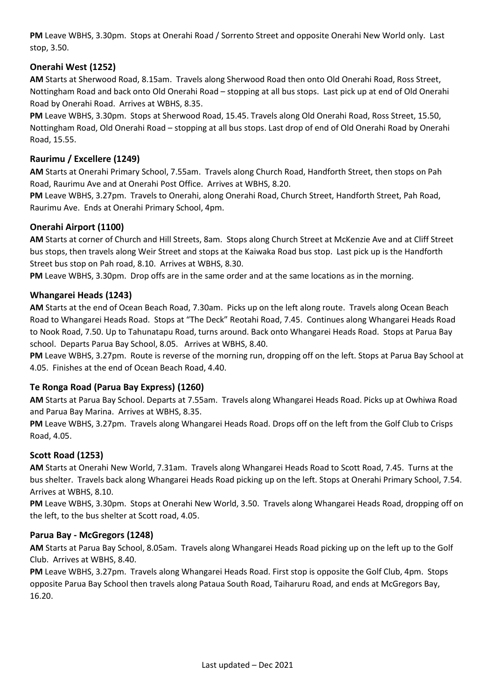**PM** Leave WBHS, 3.30pm. Stops at Onerahi Road / Sorrento Street and opposite Onerahi New World only. Last stop, 3.50.

## **Onerahi West (1252)**

**AM** Starts at Sherwood Road, 8.15am. Travels along Sherwood Road then onto Old Onerahi Road, Ross Street, Nottingham Road and back onto Old Onerahi Road – stopping at all bus stops. Last pick up at end of Old Onerahi Road by Onerahi Road. Arrives at WBHS, 8.35.

**PM** Leave WBHS, 3.30pm. Stops at Sherwood Road, 15.45. Travels along Old Onerahi Road, Ross Street, 15.50, Nottingham Road, Old Onerahi Road – stopping at all bus stops. Last drop of end of Old Onerahi Road by Onerahi Road, 15.55.

## **Raurimu / Excellere (1249)**

**AM** Starts at Onerahi Primary School, 7.55am. Travels along Church Road, Handforth Street, then stops on Pah Road, Raurimu Ave and at Onerahi Post Office. Arrives at WBHS, 8.20.

**PM** Leave WBHS, 3.27pm. Travels to Onerahi, along Onerahi Road, Church Street, Handforth Street, Pah Road, Raurimu Ave. Ends at Onerahi Primary School, 4pm.

## **Onerahi Airport (1100)**

**AM** Starts at corner of Church and Hill Streets, 8am. Stops along Church Street at McKenzie Ave and at Cliff Street bus stops, then travels along Weir Street and stops at the Kaiwaka Road bus stop. Last pick up is the Handforth Street bus stop on Pah road, 8.10. Arrives at WBHS, 8.30.

**PM** Leave WBHS, 3.30pm. Drop offs are in the same order and at the same locations as in the morning.

## **Whangarei Heads (1243)**

**AM** Starts at the end of Ocean Beach Road, 7.30am. Picks up on the left along route. Travels along Ocean Beach Road to Whangarei Heads Road. Stops at "The Deck" Reotahi Road, 7.45. Continues along Whangarei Heads Road to Nook Road, 7.50. Up to Tahunatapu Road, turns around. Back onto Whangarei Heads Road. Stops at Parua Bay school. Departs Parua Bay School, 8.05. Arrives at WBHS, 8.40.

**PM** Leave WBHS, 3.27pm. Route is reverse of the morning run, dropping off on the left. Stops at Parua Bay School at 4.05. Finishes at the end of Ocean Beach Road, 4.40.

## **Te Ronga Road (Parua Bay Express) (1260)**

**AM** Starts at Parua Bay School. Departs at 7.55am. Travels along Whangarei Heads Road. Picks up at Owhiwa Road and Parua Bay Marina. Arrives at WBHS, 8.35.

**PM** Leave WBHS, 3.27pm. Travels along Whangarei Heads Road. Drops off on the left from the Golf Club to Crisps Road, 4.05.

## **Scott Road (1253)**

**AM** Starts at Onerahi New World, 7.31am. Travels along Whangarei Heads Road to Scott Road, 7.45. Turns at the bus shelter. Travels back along Whangarei Heads Road picking up on the left. Stops at Onerahi Primary School, 7.54. Arrives at WBHS, 8.10.

**PM** Leave WBHS, 3.30pm. Stops at Onerahi New World, 3.50. Travels along Whangarei Heads Road, dropping off on the left, to the bus shelter at Scott road, 4.05.

## **Parua Bay - McGregors (1248)**

**AM** Starts at Parua Bay School, 8.05am. Travels along Whangarei Heads Road picking up on the left up to the Golf Club. Arrives at WBHS, 8.40.

**PM** Leave WBHS, 3.27pm. Travels along Whangarei Heads Road. First stop is opposite the Golf Club, 4pm. Stops opposite Parua Bay School then travels along Pataua South Road, Taiharuru Road, and ends at McGregors Bay, 16.20.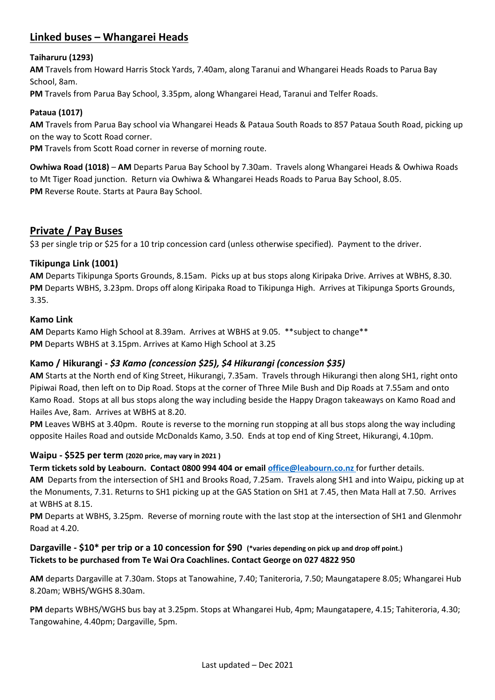# **Linked buses – Whangarei Heads**

## **Taiharuru (1293)**

**AM** Travels from Howard Harris Stock Yards, 7.40am, along Taranui and Whangarei Heads Roads to Parua Bay School, 8am.

**PM** Travels from Parua Bay School, 3.35pm, along Whangarei Head, Taranui and Telfer Roads.

## **Pataua (1017)**

**AM** Travels from Parua Bay school via Whangarei Heads & Pataua South Roads to 857 Pataua South Road, picking up on the way to Scott Road corner.

**PM** Travels from Scott Road corner in reverse of morning route.

**Owhiwa Road (1018)** – **AM** Departs Parua Bay School by 7.30am. Travels along Whangarei Heads & Owhiwa Roads to Mt Tiger Road junction. Return via Owhiwa & Whangarei Heads Roads to Parua Bay School, 8.05. **PM** Reverse Route. Starts at Paura Bay School.

## **Private / Pay Buses**

\$3 per single trip or \$25 for a 10 trip concession card (unless otherwise specified). Payment to the driver.

## **Tikipunga Link (1001)**

**AM** Departs Tikipunga Sports Grounds, 8.15am. Picks up at bus stops along Kiripaka Drive. Arrives at WBHS, 8.30. **PM** Departs WBHS, 3.23pm. Drops off along Kiripaka Road to Tikipunga High. Arrives at Tikipunga Sports Grounds, 3.35.

## **Kamo Link**

**AM** Departs Kamo High School at 8.39am. Arrives at WBHS at 9.05. \*\*subject to change\*\* **PM** Departs WBHS at 3.15pm. Arrives at Kamo High School at 3.25

## **Kamo / Hikurangi -** *\$3 Kamo (concession \$25), \$4 Hikurangi (concession \$35)*

**AM** Starts at the North end of King Street, Hikurangi, 7.35am. Travels through Hikurangi then along SH1, right onto Pipiwai Road, then left on to Dip Road. Stops at the corner of Three Mile Bush and Dip Roads at 7.55am and onto Kamo Road. Stops at all bus stops along the way including beside the Happy Dragon takeaways on Kamo Road and Hailes Ave, 8am. Arrives at WBHS at 8.20.

**PM** Leaves WBHS at 3.40pm. Route is reverse to the morning run stopping at all bus stops along the way including opposite Hailes Road and outside McDonalds Kamo, 3.50. Ends at top end of King Street, Hikurangi, 4.10pm.

## **Waipu - \$525 per term (2020 price, may vary in 2021 )**

**Term tickets sold by Leabourn. Contact 0800 994 404 or email [office@leabourn.co.nz](mailto:office@leabourn.co.nz)** for further details.

**AM** Departs from the intersection of SH1 and Brooks Road, 7.25am. Travels along SH1 and into Waipu, picking up at the Monuments, 7.31. Returns to SH1 picking up at the GAS Station on SH1 at 7.45, then Mata Hall at 7.50. Arrives at WBHS at 8.15.

**PM** Departs at WBHS, 3.25pm. Reverse of morning route with the last stop at the intersection of SH1 and Glenmohr Road at 4.20.

## **Dargaville - \$10\* per trip or a 10 concession for \$90 (\*varies depending on pick up and drop off point.) Tickets to be purchased from Te Wai Ora Coachlines. Contact George on 027 4822 950**

**AM** departs Dargaville at 7.30am. Stops at Tanowahine, 7.40; Taniteroria, 7.50; Maungatapere 8.05; Whangarei Hub 8.20am; WBHS/WGHS 8.30am.

**PM** departs WBHS/WGHS bus bay at 3.25pm. Stops at Whangarei Hub, 4pm; Maungatapere, 4.15; Tahiteroria, 4.30; Tangowahine, 4.40pm; Dargaville, 5pm.